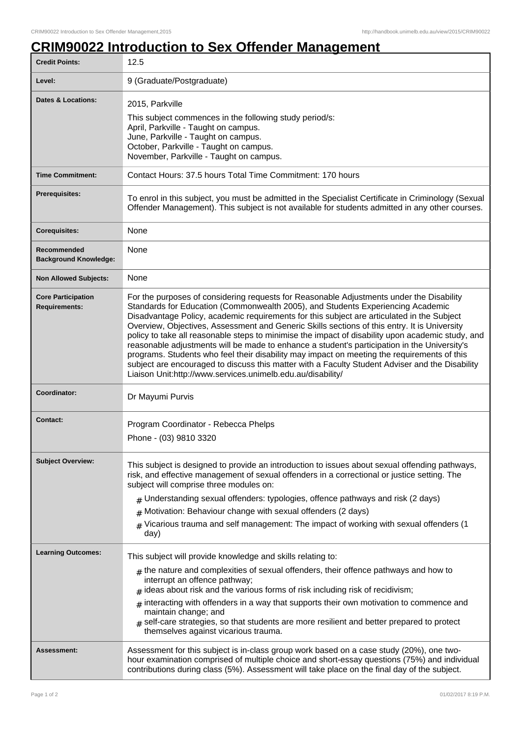## **CRIM90022 Introduction to Sex Offender Management**

| <b>Credit Points:</b>                             | 12.5                                                                                                                                                                                                                                                                                                                                                                                                                                                                                                                                                                                                                                                                                                                                                                                                                                            |
|---------------------------------------------------|-------------------------------------------------------------------------------------------------------------------------------------------------------------------------------------------------------------------------------------------------------------------------------------------------------------------------------------------------------------------------------------------------------------------------------------------------------------------------------------------------------------------------------------------------------------------------------------------------------------------------------------------------------------------------------------------------------------------------------------------------------------------------------------------------------------------------------------------------|
| Level:                                            | 9 (Graduate/Postgraduate)                                                                                                                                                                                                                                                                                                                                                                                                                                                                                                                                                                                                                                                                                                                                                                                                                       |
| <b>Dates &amp; Locations:</b>                     | 2015, Parkville<br>This subject commences in the following study period/s:<br>April, Parkville - Taught on campus.<br>June, Parkville - Taught on campus.<br>October, Parkville - Taught on campus.<br>November, Parkville - Taught on campus.                                                                                                                                                                                                                                                                                                                                                                                                                                                                                                                                                                                                  |
| <b>Time Commitment:</b>                           | Contact Hours: 37.5 hours Total Time Commitment: 170 hours                                                                                                                                                                                                                                                                                                                                                                                                                                                                                                                                                                                                                                                                                                                                                                                      |
| <b>Prerequisites:</b>                             | To enrol in this subject, you must be admitted in the Specialist Certificate in Criminology (Sexual<br>Offender Management). This subject is not available for students admitted in any other courses.                                                                                                                                                                                                                                                                                                                                                                                                                                                                                                                                                                                                                                          |
| <b>Corequisites:</b>                              | None                                                                                                                                                                                                                                                                                                                                                                                                                                                                                                                                                                                                                                                                                                                                                                                                                                            |
| Recommended<br><b>Background Knowledge:</b>       | None                                                                                                                                                                                                                                                                                                                                                                                                                                                                                                                                                                                                                                                                                                                                                                                                                                            |
| <b>Non Allowed Subjects:</b>                      | None                                                                                                                                                                                                                                                                                                                                                                                                                                                                                                                                                                                                                                                                                                                                                                                                                                            |
| <b>Core Participation</b><br><b>Requirements:</b> | For the purposes of considering requests for Reasonable Adjustments under the Disability<br>Standards for Education (Commonwealth 2005), and Students Experiencing Academic<br>Disadvantage Policy, academic requirements for this subject are articulated in the Subject<br>Overview, Objectives, Assessment and Generic Skills sections of this entry. It is University<br>policy to take all reasonable steps to minimise the impact of disability upon academic study, and<br>reasonable adjustments will be made to enhance a student's participation in the University's<br>programs. Students who feel their disability may impact on meeting the requirements of this<br>subject are encouraged to discuss this matter with a Faculty Student Adviser and the Disability<br>Liaison Unit:http://www.services.unimelb.edu.au/disability/ |
| Coordinator:                                      | Dr Mayumi Purvis                                                                                                                                                                                                                                                                                                                                                                                                                                                                                                                                                                                                                                                                                                                                                                                                                                |
| Contact:                                          | Program Coordinator - Rebecca Phelps<br>Phone - (03) 9810 3320                                                                                                                                                                                                                                                                                                                                                                                                                                                                                                                                                                                                                                                                                                                                                                                  |
| <b>Subject Overview:</b>                          | This subject is designed to provide an introduction to issues about sexual offending pathways,<br>risk, and effective management of sexual offenders in a correctional or justice setting. The<br>subject will comprise three modules on:<br>$#$ Understanding sexual offenders: typologies, offence pathways and risk (2 days)<br>Motivation: Behaviour change with sexual offenders (2 days)<br>#<br>Vicarious trauma and self management: The impact of working with sexual offenders (1<br>#<br>day)                                                                                                                                                                                                                                                                                                                                        |
| <b>Learning Outcomes:</b>                         | This subject will provide knowledge and skills relating to:<br>$_{\#}$ the nature and complexities of sexual offenders, their offence pathways and how to<br>interrupt an offence pathway;<br>ideas about risk and the various forms of risk including risk of recidivism;<br>#<br>interacting with offenders in a way that supports their own motivation to commence and<br>#<br>maintain change; and<br>self-care strategies, so that students are more resilient and better prepared to protect<br>themselves against vicarious trauma.                                                                                                                                                                                                                                                                                                      |
| Assessment:                                       | Assessment for this subject is in-class group work based on a case study (20%), one two-<br>hour examination comprised of multiple choice and short-essay questions (75%) and individual<br>contributions during class (5%). Assessment will take place on the final day of the subject.                                                                                                                                                                                                                                                                                                                                                                                                                                                                                                                                                        |